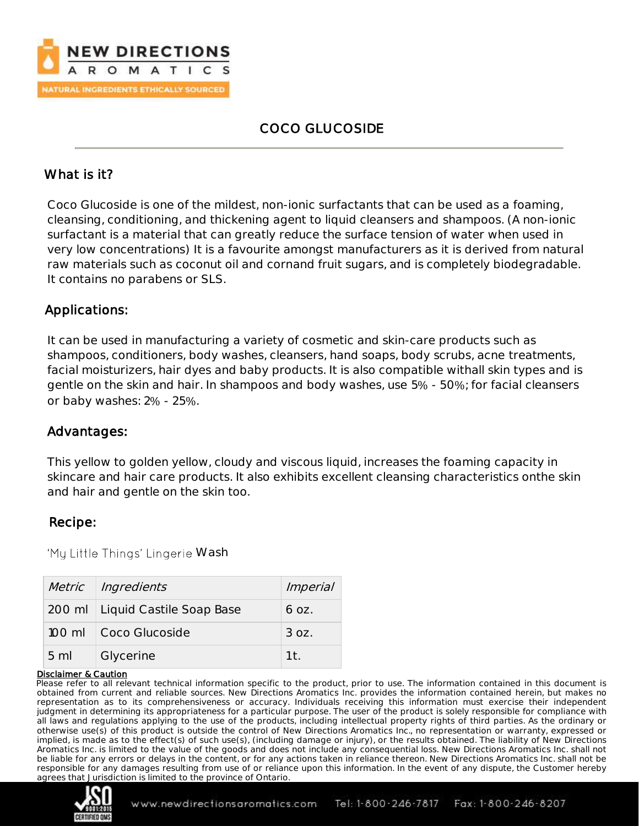

# COCO GLUCOSIDE

## What is it?

Coco Glucoside is one of the mildest, non-ionic surfactants that can be used as a foaming, cleansing, conditioning, and thickening agent to liquid cleansers and shampoos. (A non-ionic surfactant is a material that can greatly reduce the surface tension of water when used in very low concentrations) It is a favourite amongst manufacturers as it is derived from natural raw materials such as coconut oil and cornand fruit sugars, and is completely biodegradable. It contains no parabens or SLS.

## Applications:

It can be used in manufacturing a variety of cosmetic and skin-care products such as shampoos, conditioners, body washes, cleansers, hand soaps, body scrubs, acne treatments, facial moisturizers, hair dyes and baby products. It is also compatible withall skin types and is gentle on the skin and hair. In shampoos and body washes, use 5% - 50%; for facial cleansers or baby washes: 2% - 25%.

## Advantages:

This yellow to golden yellow, cloudy and viscous liquid, increases the foaming capacity in skincare and hair care products. It also exhibits excellent cleansing characteristics onthe skin and hair and gentle on the skin too.

## Recipe:

'My Little Things' Lingerie Wash

|                | Metric Ingredients                | <i>Imperial</i> |
|----------------|-----------------------------------|-----------------|
|                | 200 ml   Liquid Castile Soap Base | 6 oz.           |
|                | 100 ml Coco Glucoside             | 3 oz.           |
| $5 \text{ ml}$ | Glycerine                         | 1 <sup>†</sup>  |

#### Disclaimer & Caution

Please refer to all relevant technical information specific to the product, prior to use. The information contained in this document is obtained from current and reliable sources. New Directions Aromatics Inc. provides the information contained herein, but makes no representation as to its comprehensiveness or accuracy. Individuals receiving this information must exercise their independent judgment in determining its appropriateness for a particular purpose. The user of the product is solely responsible for compliance with all laws and regulations applying to the use of the products, including intellectual property rights of third parties. As the ordinary or otherwise use(s) of this product is outside the control of New Directions Aromatics Inc., no representation or warranty, expressed or implied, is made as to the effect(s) of such use(s), (including damage or injury), or the results obtained. The liability of New Directions Aromatics Inc. is limited to the value of the goods and does not include any consequential loss. New Directions Aromatics Inc. shall not be liable for any errors or delays in the content, or for any actions taken in reliance thereon. New Directions Aromatics Inc. shall not be responsible for any damages resulting from use of or reliance upon this information. In the event of any dispute, the Customer hereby agrees that Jurisdiction is limited to the province of Ontario.

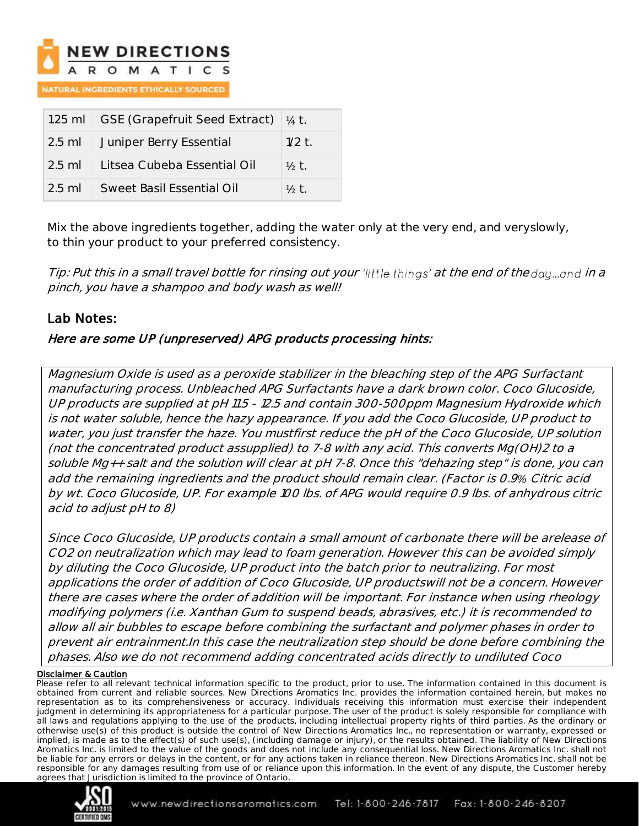

**ATURAL INGREDIENTS ETHICALLY SOURCED** 

|          | 1.25 ml GSE (Grapefruit Seed Extract) $\frac{1}{4}$ t. |                  |
|----------|--------------------------------------------------------|------------------|
| $2.5$ ml | Juniper Berry Essential                                | $1/2$ t.         |
| $2.5$ ml | Litsea Cubeba Essential Oil                            | $\frac{1}{2}$ t. |
| $2.5$ ml | Sweet Basil Essential Oil                              | $\frac{1}{2}$ t. |

Mix the above ingredients together, adding the water only at the very end, and veryslowly, to thin your product to your preferred consistency.

Tip: Put this in a small travel bottle for rinsing out your 'little things' at the end of the day...and in a pinch, you have a shampoo and body wash as well!

## Lab Notes:

### Here are some UP (unpreserved) APG products processing hints:

Magnesium Oxide is used as a peroxide stabilizer in the bleaching step of the APG Surfactant manufacturing process. Unbleached APG Surfactants have a dark brown color. Coco Glucoside, UP products are supplied at pH 11.5 - 12.5 and contain 300-500ppm Magnesium Hydroxide which is not water soluble, hence the hazy appearance. If you add the Coco Glucoside, UP product to water, you just transfer the haze. You mustfirst reduce the pH of the Coco Glucoside, UP solution (not the concentrated product assupplied) to 7-8 with any acid. This converts Mg(OH)2 to a soluble Mg++ salt and the solution will clear at pH 7-8. Once this "dehazing step" is done, you can add the remaining ingredients and the product should remain clear. (Factor is 0.9*%* Citric acid by wt. Coco Glucoside, UP. For example 100 lbs. of APG would require 0.9 lbs. of anhydrous citric acid to adjust pH to 8)

Since Coco Glucoside, UP products contain a small amount of carbonate there will be arelease of CO2 on neutralization which may lead to foam generation. However this can be avoided simply by diluting the Coco Glucoside, UP product into the batch prior to neutralizing. For most applications the order of addition of Coco Glucoside, UP productswill not be a concern. However there are cases where the order of addition will be important. For instance when using rheology modifying polymers (i.e. Xanthan Gum to suspend beads, abrasives, etc.) it is recommended to allow all air bubbles to escape before combining the surfactant and polymer phases in order to prevent air entrainment.In this case the neutralization step should be done before combining the phases. Also we do not recommend adding concentrated acids directly to undiluted Coco

#### Disclaimer & Caution

Please refer to all relevant technical information specific to the product, prior to use. The information contained in this document is obtained from current and reliable sources. New Directions Aromatics Inc. provides the information contained herein, but makes no representation as to its comprehensiveness or accuracy. Individuals receiving this information must exercise their independent judgment in determining its appropriateness for a particular purpose. The user of the product is solely responsible for compliance with all laws and regulations applying to the use of the products, including intellectual property rights of third parties. As the ordinary or otherwise use(s) of this product is outside the control of New Directions Aromatics Inc., no representation or warranty, expressed or implied, is made as to the effect(s) of such use(s), (including damage or injury), or the results obtained. The liability of New Directions Aromatics Inc. is limited to the value of the goods and does not include any consequential loss. New Directions Aromatics Inc. shall not be liable for any errors or delays in the content, or for any actions taken in reliance thereon. New Directions Aromatics Inc. shall not be responsible for any damages resulting from use of or reliance upon this information. In the event of any dispute, the Customer hereby agrees that Jurisdiction is limited to the province of Ontario.